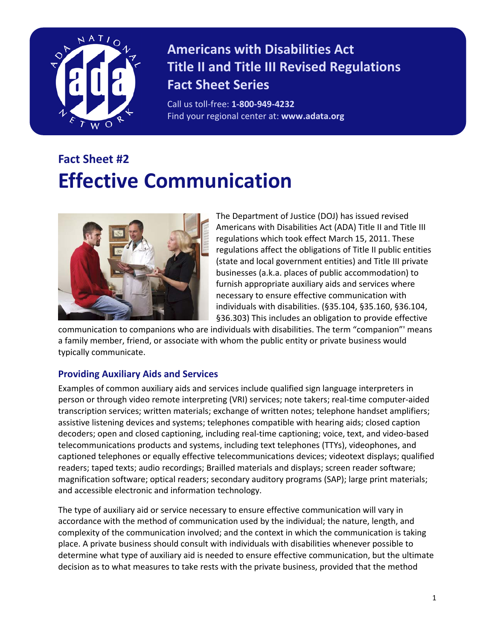

## **Americans with Disabilities Act Title II and Title III Revised Regulations Fact Sheet Series**

Call us toll-free: **1-800-949-4232** Find your regional center at: **www.adata.org**

# **Fact Sheet #2 Effective Communication**



The Department of Justice (DOJ) has issued revised Americans with Disabilities Act (ADA) Title II and Title III regulations which took effect March 15, 2011. These regulations affect the obligations of Title II public entities (state and local government entities) and Title III private businesses (a.k.a. places of public accommodation) to furnish appropriate auxiliary aids and services where necessary to ensure effective communication with individuals with disabilities. (§35.104, §35.160, §36.104, §36.303) This includes an obligation to provide effective

communication to companions who are individuals with disabilities. The term "companion"' means a family member, friend, or associate with whom the public entity or private business would typically communicate.

#### **Providing Auxiliary Aids and Services**

Examples of common auxiliary aids and services include qualified sign language interpreters in person or through video remote interpreting (VRI) services; note takers; real-time computer-aided transcription services; written materials; exchange of written notes; telephone handset amplifiers; assistive listening devices and systems; telephones compatible with hearing aids; closed caption decoders; open and closed captioning, including real-time captioning; voice, text, and video-based telecommunications products and systems, including text telephones (TTYs), videophones, and captioned telephones or equally effective telecommunications devices; videotext displays; qualified readers; taped texts; audio recordings; Brailled materials and displays; screen reader software; magnification software; optical readers; secondary auditory programs (SAP); large print materials; and accessible electronic and information technology.

The type of auxiliary aid or service necessary to ensure effective communication will vary in accordance with the method of communication used by the individual; the nature, length, and complexity of the communication involved; and the context in which the communication is taking place. A private business should consult with individuals with disabilities whenever possible to determine what type of auxiliary aid is needed to ensure effective communication, but the ultimate decision as to what measures to take rests with the private business, provided that the method